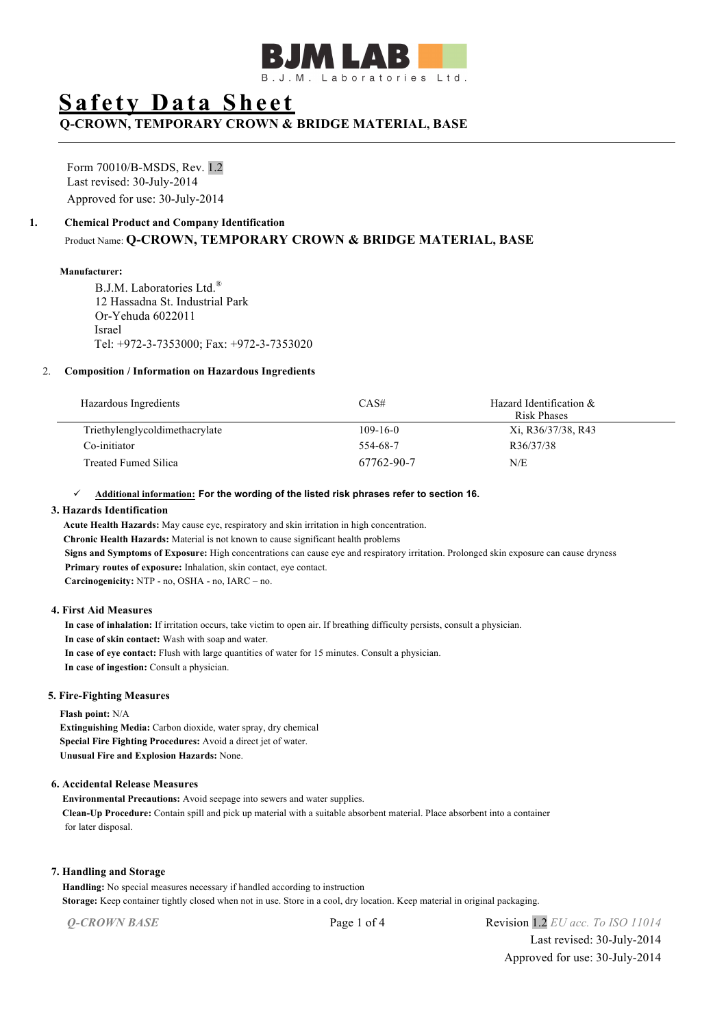

# **Safety Data Sheet**

**Q-CROWN, TEMPORARY CROWN & BRIDGE MATERIAL, BASE**

Form 70010/B-MSDS, Rev. 1.2 Last revised: 30-July-2014 Approved for use: 30-July-2014

#### **1. Chemical Product and Company Identification**

Product Name: **Q-CROWN, TEMPORARY CROWN & BRIDGE MATERIAL, BASE**

#### **Manufacturer:**

B.J.M. Laboratories Ltd.® 12 Hassadna St. Industrial Park Or-Yehuda 6022011 Israel Tel: +972-3-7353000; Fax: +972-3-7353020

#### 2. **Composition / Information on Hazardous Ingredients**

| Hazardous Ingredients          | CAS#           | Hazard Identification &<br><b>Risk Phases</b> |
|--------------------------------|----------------|-----------------------------------------------|
| Triethylenglycoldimethacrylate | $109 - 16 - 0$ | Xi, R36/37/38, R43                            |
| Co-initiator                   | 554-68-7       | R36/37/38                                     |
| Treated Fumed Silica           | 67762-90-7     | N/E                                           |

#### ü **Additional information: For the wording of the listed risk phrases refer to section 16.**

#### **3. Hazards Identification**

 **Acute Health Hazards:** May cause eye, respiratory and skin irritation in high concentration.  **Chronic Health Hazards:** Material is not known to cause significant health problems  **Signs and Symptoms of Exposure:** High concentrations can cause eye and respiratory irritation. Prolonged skin exposure can cause dryness  **Primary routes of exposure:** Inhalation, skin contact, eye contact.  **Carcinogenicity:** NTP - no, OSHA - no, IARC – no.

## **4. First Aid Measures**

 **In case of inhalation:** If irritation occurs, take victim to open air. If breathing difficulty persists, consult a physician.  **In case of skin contact:** Wash with soap and water.  **In case of eye contact:** Flush with large quantities of water for 15 minutes. Consult a physician.  **In case of ingestion:** Consult a physician.

## **5. Fire-Fighting Measures**

**Flash point:** N/A

**Extinguishing Media:** Carbon dioxide, water spray, dry chemical **Special Fire Fighting Procedures:** Avoid a direct jet of water. **Unusual Fire and Explosion Hazards:** None.

## **6. Accidental Release Measures**

**Environmental Precautions:** Avoid seepage into sewers and water supplies. **Clean-Up Procedure:** Contain spill and pick up material with a suitable absorbent material. Place absorbent into a container for later disposal.

#### **7. Handling and Storage**

**Handling:** No special measures necessary if handled according to instruction **Storage:** Keep container tightly closed when not in use. Store in a cool, dry location. Keep material in original packaging.

*Q-CROWN BASE* Page 1 of 4 Revision 1.2 *EU acc. To ISO 11014* Last revised: 30-July-2014 Approved for use: 30-July-2014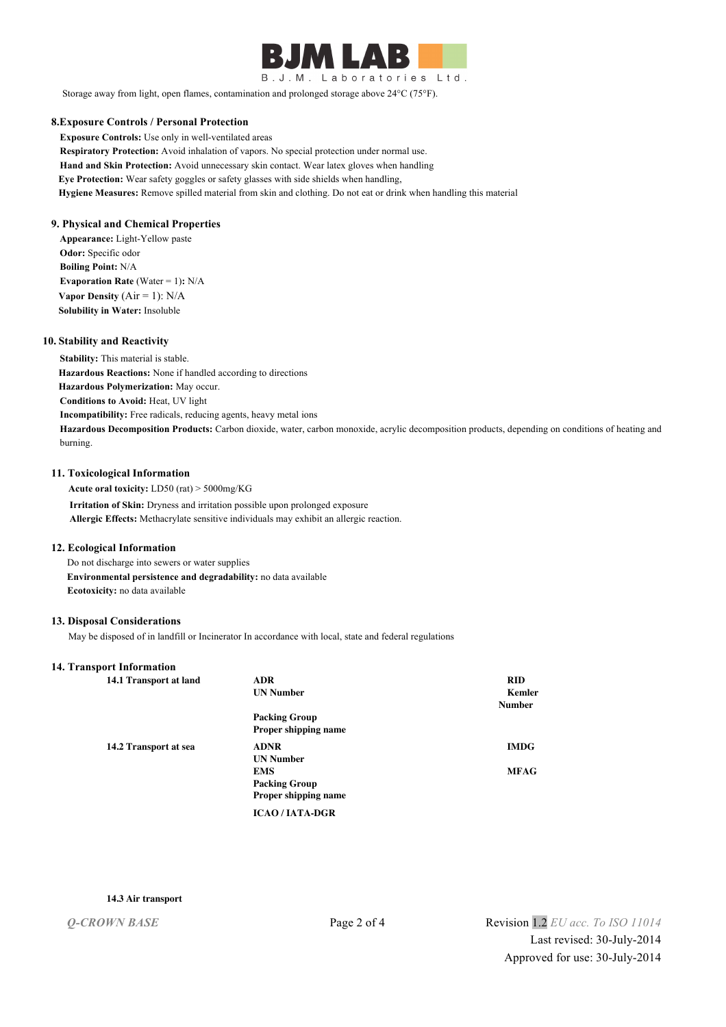

B.J.M. Laboratories Ltd.

Storage away from light, open flames, contamination and prolonged storage above 24°C (75°F).

#### **8.Exposure Controls / Personal Protection**

**Exposure Controls:** Use only in well-ventilated areas **Respiratory Protection:** Avoid inhalation of vapors. No special protection under normal use. **Hand and Skin Protection:** Avoid unnecessary skin contact. Wear latex gloves when handling **Eye Protection:** Wear safety goggles or safety glasses with side shields when handling, **Hygiene Measures:** Remove spilled material from skin and clothing. Do not eat or drink when handling this material

#### **9. Physical and Chemical Properties**

**Appearance:** Light-Yellow paste **Odor:** Specific odor **Boiling Point:** N/A **Evaporation Rate (Water = 1): N/A Vapor Density**  $(Air = 1)$ :  $N/A$ **Solubility in Water:** Insoluble

#### **10. Stability and Reactivity**

**Stability:** This material is stable. **Hazardous Reactions:** None if handled according to directions **Hazardous Polymerization:** May occur. **Conditions to Avoid:** Heat, UV light **Incompatibility:** Free radicals, reducing agents, heavy metal ions **Hazardous Decomposition Products:** Carbon dioxide, water, carbon monoxide, acrylic decomposition products, depending on conditions of heating and burning.

#### **11. Toxicological Information**

 **Acute oral toxicity:** LD50 (rat) > 5000mg/KG  **Irritation of Skin:** Dryness and irritation possible upon prolonged exposure  **Allergic Effects:** Methacrylate sensitive individuals may exhibit an allergic reaction.

#### **12. Ecological Information**

 Do not discharge into sewers or water supplies  **Environmental persistence and degradability:** no data available  **Ecotoxicity:** no data available

## **13. Disposal Considerations**

May be disposed of in landfill or Incinerator In accordance with local, state and federal regulations

#### **14. Transport Information**

| 14.1 Transport at land | <b>ADR</b>           | <b>RID</b>    |
|------------------------|----------------------|---------------|
|                        | <b>UN Number</b>     | Kemler        |
|                        |                      | <b>Number</b> |
|                        | <b>Packing Group</b> |               |
|                        | Proper shipping name |               |
| 14.2 Transport at sea  | <b>ADNR</b>          | <b>IMDG</b>   |
|                        | <b>UN Number</b>     |               |
|                        | <b>EMS</b>           | <b>MFAG</b>   |
|                        | <b>Packing Group</b> |               |
|                        | Proper shipping name |               |
|                        | <b>ICAO/IATA-DGR</b> |               |

#### **14.3 Air transport**

*Q-CROWN BASE* Page 2 of 4 Revision 1.2 *EU acc. To ISO 11014* Last revised: 30-July-2014 Approved for use: 30-July-2014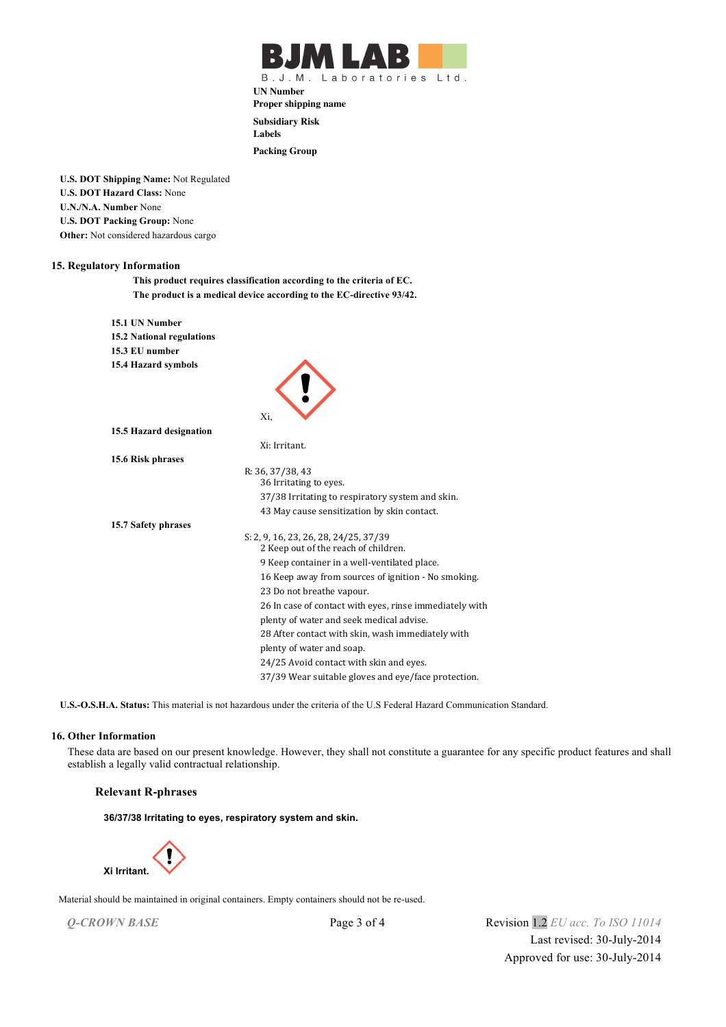

B.J.M. Laboratories Ltd.

**UN Number Proper shipping name**

**Subsidiary Risk**

**Labels**

**Packing Group**

**U.S. DOT Shipping Name:** Not Regulated **U.S. DOT Hazard Class:** None **U.N./N.A. Number** None **U.S. DOT Packing Group:** None **Other:** Not considered hazardous cargo

#### **15. Regulatory Information**

**This product requires classification according to the criteria of EC. The product is a medical device according to the EC-directive 93/42.**

| 15.1 UN Number                   |                                                                               |
|----------------------------------|-------------------------------------------------------------------------------|
| <b>15.2 National regulations</b> |                                                                               |
| 15.3 EU number                   |                                                                               |
| 15.4 Hazard symbols              |                                                                               |
|                                  | Xi,                                                                           |
| 15.5 Hazard designation          |                                                                               |
|                                  | Xi: Irritant.                                                                 |
| 15.6 Risk phrases                |                                                                               |
|                                  | R: 36, 37/38, 43                                                              |
|                                  | 36 Irritating to eyes.                                                        |
|                                  | 37/38 Irritating to respiratory system and skin.                              |
|                                  | 43 May cause sensitization by skin contact.                                   |
| 15.7 Safety phrases              |                                                                               |
|                                  | S: 2, 9, 16, 23, 26, 28, 24/25, 37/39<br>2 Keep out of the reach of children. |
|                                  | 9 Keep container in a well-ventilated place.                                  |
|                                  | 16 Keep away from sources of ignition - No smoking.                           |
|                                  | 23 Do not breathe vapour.                                                     |
|                                  | 26 In case of contact with eyes, rinse immediately with                       |
|                                  | plenty of water and seek medical advise.                                      |
|                                  | 28 After contact with skin, wash immediately with                             |
|                                  | plenty of water and soap.                                                     |
|                                  | 24/25 Avoid contact with skin and eyes.                                       |
|                                  | 37/39 Wear suitable gloves and eye/face protection.                           |

**U.S.-O.S.H.A. Status:** This material is not hazardous under the criteria of the U.S Federal Hazard Communication Standard.

#### **16. Other Information**

 These data are based on our present knowledge. However, they shall not constitute a guarantee for any specific product features and shall establish a legally valid contractual relationship.

## **Relevant R-phrases**

**36/37/38 Irritating to eyes, respiratory system and skin.**



Material should be maintained in original containers. Empty containers should not be re-used.

*Q-CROWN BASE* Page 3 of 4 Revision 1.2 *EU acc. To ISO 11014* Last revised: 30-July-2014 Approved for use: 30-July-2014